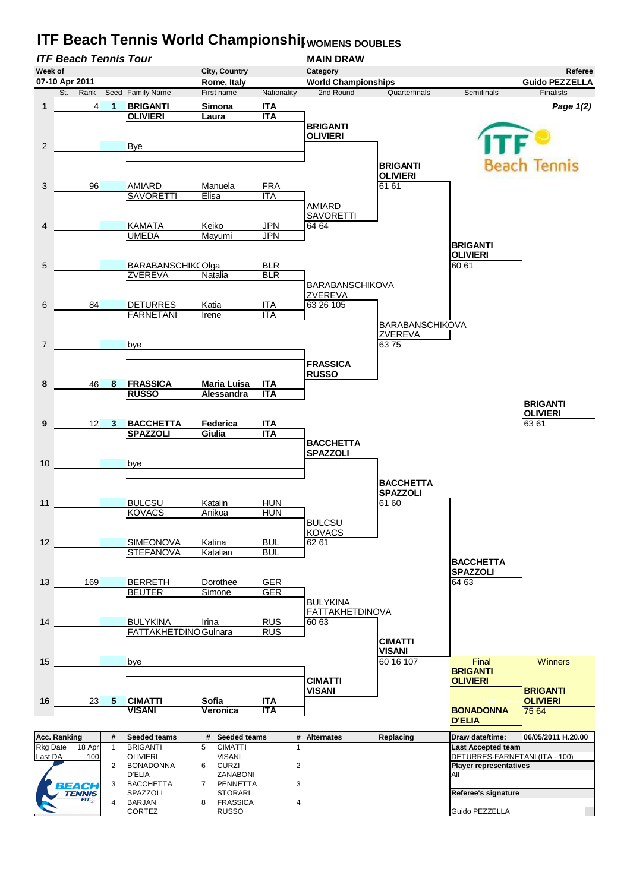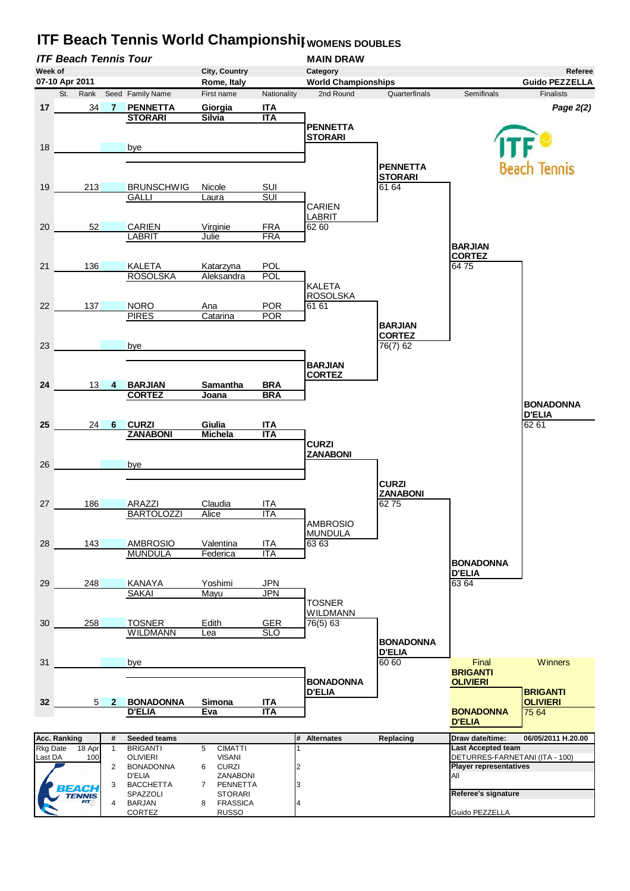

## **ITF Beach Tennis World Championship** WOMENS DOUBLES